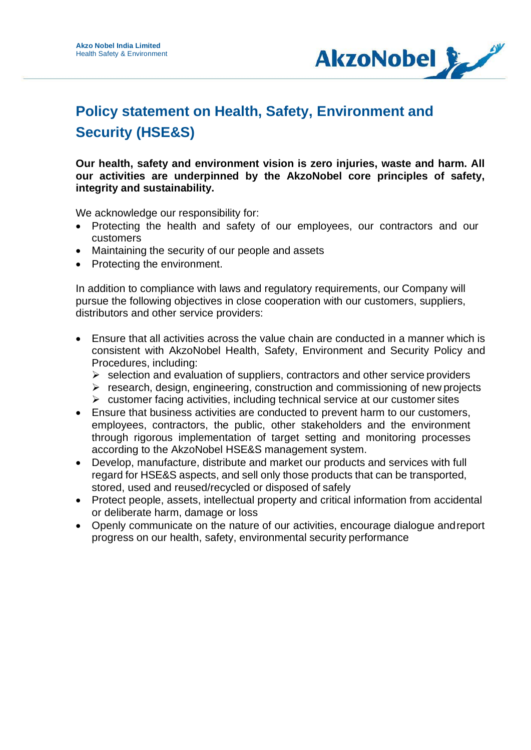

## **Policy statement on Health, Safety, Environment and Security (HSE&S)**

**Our health, safety and environment vision is zero injuries, waste and harm. All our activities are underpinned by the AkzoNobel core principles of safety, integrity and sustainability.**

We acknowledge our responsibility for:

- Protecting the health and safety of our employees, our contractors and our customers
- Maintaining the security of our people and assets
- Protecting the environment.

In addition to compliance with laws and regulatory requirements, our Company will pursue the following objectives in close cooperation with our customers, suppliers, distributors and other service providers:

- Ensure that all activities across the value chain are conducted in a manner which is consistent with AkzoNobel Health, Safety, Environment and Security Policy and Procedures, including:
	- $\triangleright$  selection and evaluation of suppliers, contractors and other service providers
	- $\triangleright$  research, design, engineering, construction and commissioning of new projects
	- $\triangleright$  customer facing activities, including technical service at our customer sites
- Ensure that business activities are conducted to prevent harm to our customers, employees, contractors, the public, other stakeholders and the environment through rigorous implementation of target setting and monitoring processes according to the AkzoNobel HSE&S management system.
- Develop, manufacture, distribute and market our products and services with full regard for HSE&S aspects, and sell only those products that can be transported, stored, used and reused/recycled or disposed of safely
- Protect people, assets, intellectual property and critical information from accidental or deliberate harm, damage or loss
- Openly communicate on the nature of our activities, encourage dialogue andreport progress on our health, safety, environmental security performance